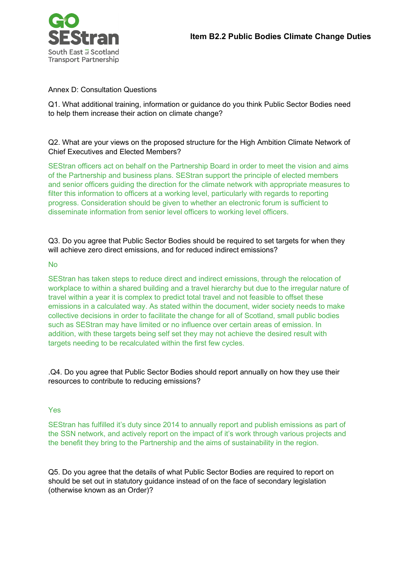

## Annex D: Consultation Questions

Q1. What additional training, information or guidance do you think Public Sector Bodies need to help them increase their action on climate change?

## Q2. What are your views on the proposed structure for the High Ambition Climate Network of Chief Executives and Elected Members?

SEStran officers act on behalf on the Partnership Board in order to meet the vision and aims of the Partnership and business plans. SEStran support the principle of elected members and senior officers guiding the direction for the climate network with appropriate measures to filter this information to officers at a working level, particularly with regards to reporting progress. Consideration should be given to whether an electronic forum is sufficient to disseminate information from senior level officers to working level officers.

Q3. Do you agree that Public Sector Bodies should be required to set targets for when they will achieve zero direct emissions, and for reduced indirect emissions?

## No

SEStran has taken steps to reduce direct and indirect emissions, through the relocation of workplace to within a shared building and a travel hierarchy but due to the irregular nature of travel within a year it is complex to predict total travel and not feasible to offset these emissions in a calculated way. As stated within the document, wider society needs to make collective decisions in order to facilitate the change for all of Scotland, small public bodies such as SEStran may have limited or no influence over certain areas of emission. In addition, with these targets being self set they may not achieve the desired result with targets needing to be recalculated within the first few cycles.

.Q4. Do you agree that Public Sector Bodies should report annually on how they use their resources to contribute to reducing emissions?

## Yes

SEStran has fulfilled it's duty since 2014 to annually report and publish emissions as part of the SSN network, and actively report on the impact of it's work through various projects and the benefit they bring to the Partnership and the aims of sustainability in the region.

Q5. Do you agree that the details of what Public Sector Bodies are required to report on should be set out in statutory guidance instead of on the face of secondary legislation (otherwise known as an Order)?